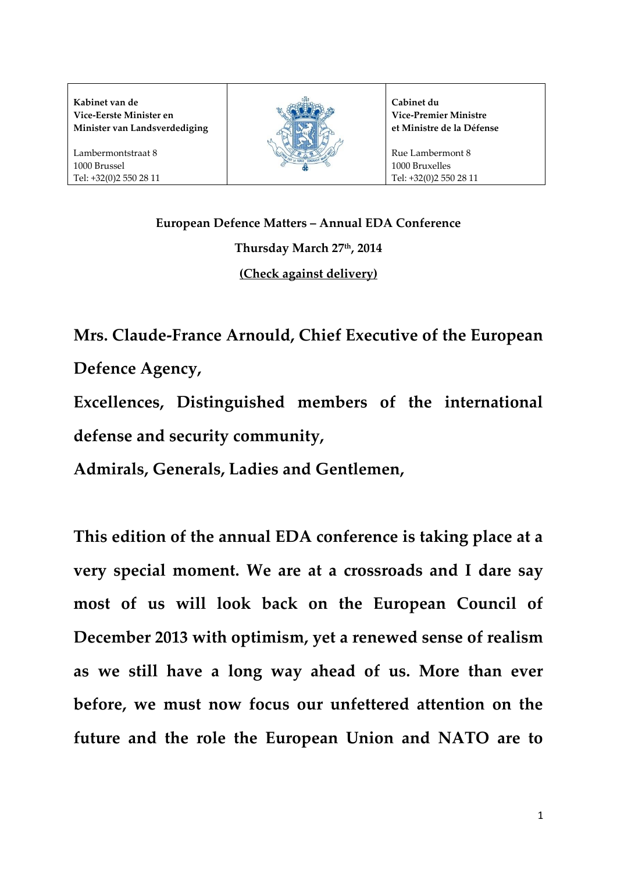**Kabinet van de Vice-Eerste Minister en Minister van Landsverdediging**

Lambermontstraat 8 1000 Brussel Tel: +32(0)2 550 28 11



**Cabinet du Vice-Premier Ministre et Ministre de la Défense**

Rue Lambermont 8 1000 Bruxelles Tel: +32(0)2 550 28 11

**European Defence Matters – Annual EDA Conference Thursday March 27th, 2014 (Check against delivery)**

**Mrs. Claude-France Arnould, Chief Executive of the European Defence Agency,** 

**Excellences, Distinguished members of the international defense and security community,** 

**Admirals, Generals, Ladies and Gentlemen,** 

**This edition of the annual EDA conference is taking place at a very special moment. We are at a crossroads and I dare say most of us will look back on the European Council of December 2013 with optimism, yet a renewed sense of realism as we still have a long way ahead of us. More than ever before, we must now focus our unfettered attention on the future and the role the European Union and NATO are to**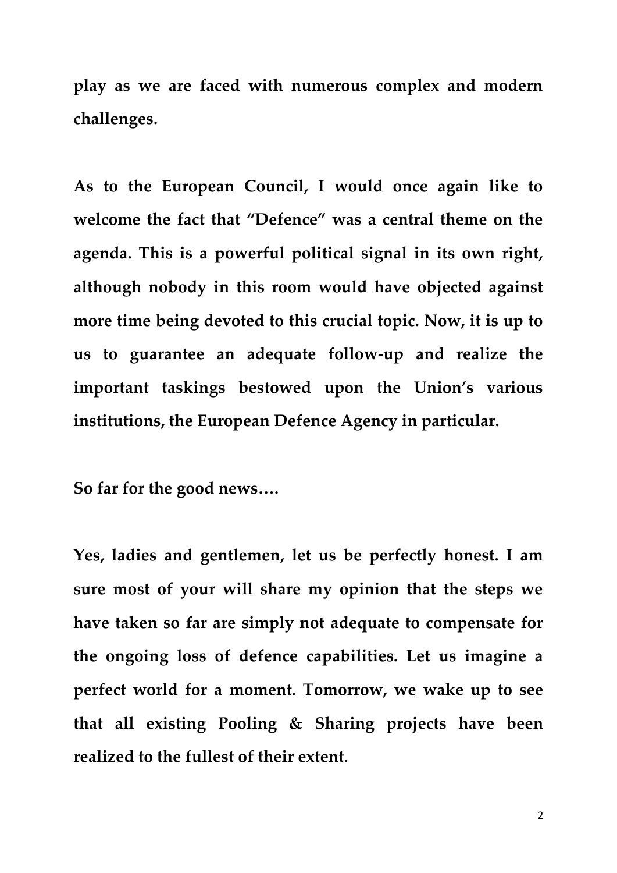**play as we are faced with numerous complex and modern challenges.**

**As to the European Council, I would once again like to welcome the fact that "Defence" was a central theme on the agenda. This is a powerful political signal in its own right, although nobody in this room would have objected against more time being devoted to this crucial topic. Now, it is up to us to guarantee an adequate follow-up and realize the important taskings bestowed upon the Union's various institutions, the European Defence Agency in particular.** 

**So far for the good news….**

**Yes, ladies and gentlemen, let us be perfectly honest. I am sure most of your will share my opinion that the steps we have taken so far are simply not adequate to compensate for the ongoing loss of defence capabilities. Let us imagine a perfect world for a moment. Tomorrow, we wake up to see that all existing Pooling & Sharing projects have been realized to the fullest of their extent.**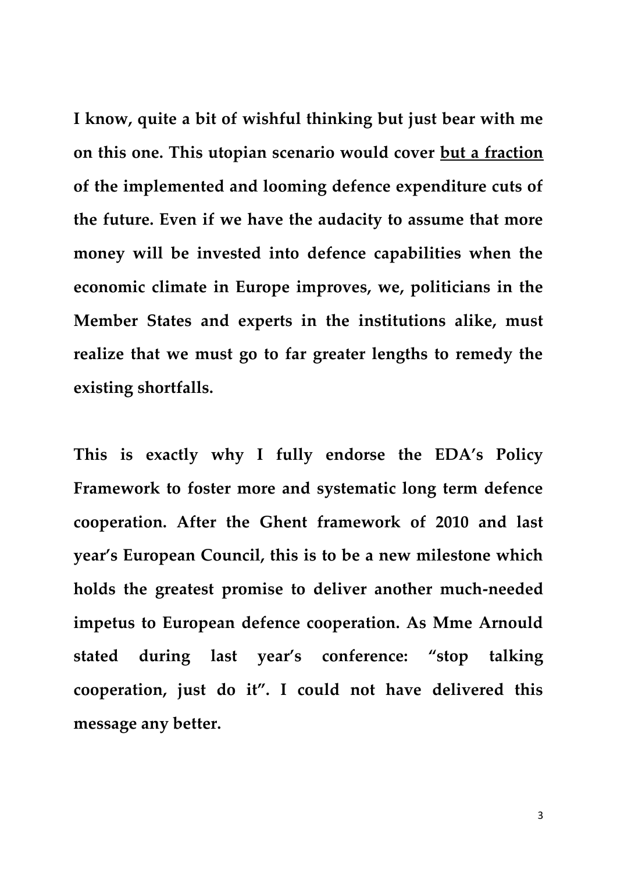**I know, quite a bit of wishful thinking but just bear with me on this one. This utopian scenario would cover but a fraction of the implemented and looming defence expenditure cuts of the future. Even if we have the audacity to assume that more money will be invested into defence capabilities when the economic climate in Europe improves, we, politicians in the Member States and experts in the institutions alike, must realize that we must go to far greater lengths to remedy the existing shortfalls.**

**This is exactly why I fully endorse the EDA's Policy Framework to foster more and systematic long term defence cooperation. After the Ghent framework of 2010 and last year's European Council, this is to be a new milestone which holds the greatest promise to deliver another much-needed impetus to European defence cooperation. As Mme Arnould stated during last year's conference: "stop talking cooperation, just do it". I could not have delivered this message any better.**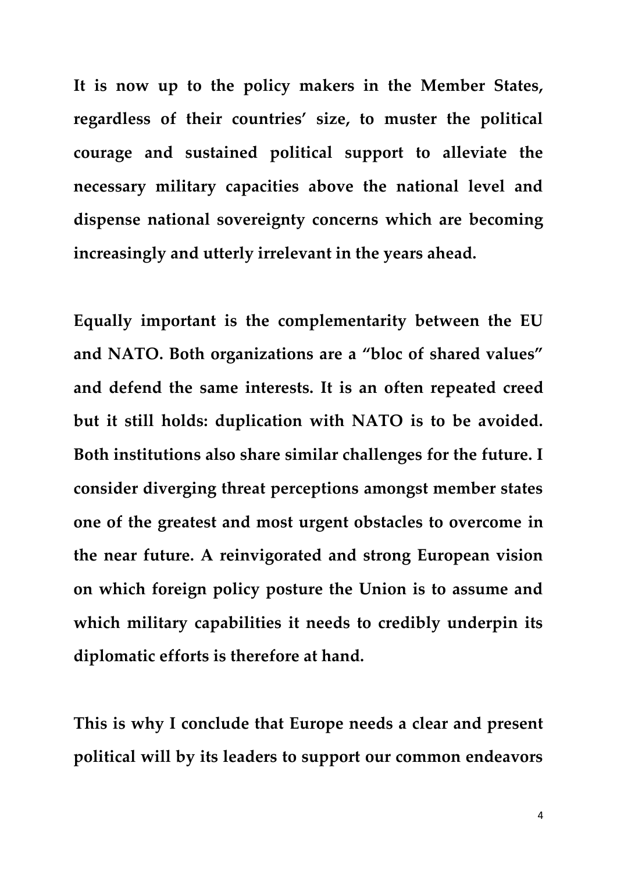**It is now up to the policy makers in the Member States, regardless of their countries' size, to muster the political courage and sustained political support to alleviate the necessary military capacities above the national level and dispense national sovereignty concerns which are becoming increasingly and utterly irrelevant in the years ahead.** 

**Equally important is the complementarity between the EU and NATO. Both organizations are a "bloc of shared values" and defend the same interests. It is an often repeated creed but it still holds: duplication with NATO is to be avoided. Both institutions also share similar challenges for the future. I consider diverging threat perceptions amongst member states one of the greatest and most urgent obstacles to overcome in the near future. A reinvigorated and strong European vision on which foreign policy posture the Union is to assume and which military capabilities it needs to credibly underpin its diplomatic efforts is therefore at hand.** 

**This is why I conclude that Europe needs a clear and present political will by its leaders to support our common endeavors**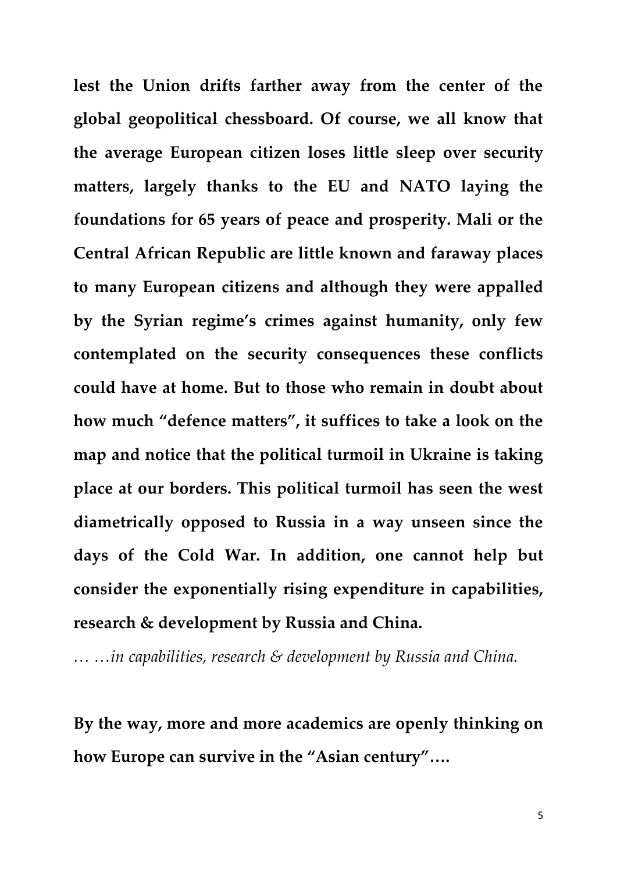**lest the Union drifts farther away from the center of the global geopolitical chessboard. Of course, we all know that the average European citizen loses little sleep over security matters, largely thanks to the EU and NATO laying the foundations for 65 years of peace and prosperity. Mali or the Central African Republic are little known and faraway places to many European citizens and although they were appalled by the Syrian regime's crimes against humanity, only few contemplated on the security consequences these conflicts could have at home. But to those who remain in doubt about how much "defence matters", it suffices to take a look on the map and notice that the political turmoil in Ukraine is taking place at our borders. This political turmoil has seen the west diametrically opposed to Russia in a way unseen since the days of the Cold War. In addition, one cannot help but consider the exponentially rising expenditure in capabilities, research & development by Russia and China.** 

*… …in capabilities, research & development by Russia and China.*

**By the way, more and more academics are openly thinking on how Europe can survive in the "Asian century"….**